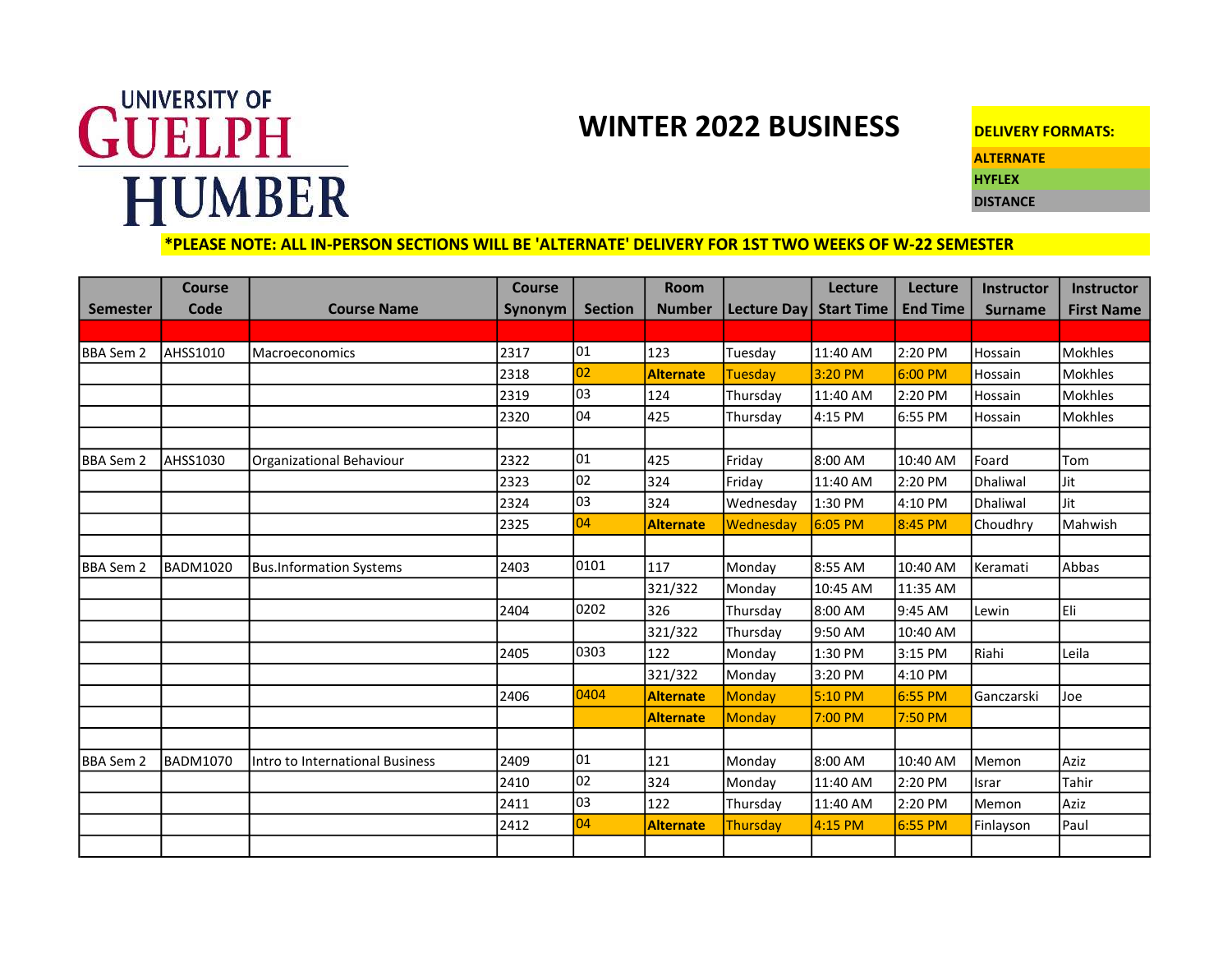## UNIVERSITY OF GUELPH **HUMBER**

## WINTER 2022 BUSINESS DELIVERY FORMATS:

**ALTERNATE** 

HYFLEX **DISTANCE** 

## \*PLEASE NOTE: ALL IN-PERSON SECTIONS WILL BE 'ALTERNATE' DELIVERY FOR 1ST TWO WEEKS OF W-22 SEMESTER

|                  | <b>Course</b>   |                                 | <b>Course</b> |                | <b>Room</b>      |                 | Lecture           | Lecture         | Instructor      | <b>Instructor</b> |
|------------------|-----------------|---------------------------------|---------------|----------------|------------------|-----------------|-------------------|-----------------|-----------------|-------------------|
| <b>Semester</b>  | Code            | <b>Course Name</b>              | Synonym       | <b>Section</b> | <b>Number</b>    | Lecture Day     | <b>Start Time</b> | <b>End Time</b> | <b>Surname</b>  | <b>First Name</b> |
|                  |                 |                                 |               |                |                  |                 |                   |                 |                 |                   |
| <b>BBA Sem 2</b> | <b>AHSS1010</b> | Macroeconomics                  | 2317          | 01             | 123              | Tuesday         | 11:40 AM          | 2:20 PM         | Hossain         | <b>Mokhles</b>    |
|                  |                 |                                 | 2318          | 02             | <b>Alternate</b> | <b>Tuesday</b>  | 3:20 PM           | 6:00 PM         | Hossain         | <b>Mokhles</b>    |
|                  |                 |                                 | 2319          | 03             | 124              | Thursday        | 11:40 AM          | 2:20 PM         | Hossain         | <b>Mokhles</b>    |
|                  |                 |                                 | 2320          | 04             | 425              | Thursday        | 4:15 PM           | 6:55 PM         | Hossain         | <b>Mokhles</b>    |
|                  |                 |                                 |               |                |                  |                 |                   |                 |                 |                   |
| BBA Sem 2        | <b>AHSS1030</b> | Organizational Behaviour        | 2322          | 01             | 425              | Friday          | 8:00 AM           | 10:40 AM        | Foard           | Tom               |
|                  |                 |                                 | 2323          | 02             | 324              | Friday          | 11:40 AM          | 2:20 PM         | Dhaliwal        | Jit               |
|                  |                 |                                 | 2324          | loз            | 324              | Wednesday       | 1:30 PM           | 4:10 PM         | <b>Dhaliwal</b> | <b>Jit</b>        |
|                  |                 |                                 | 2325          | 04             | <b>Alternate</b> | Wednesday       | $6:05$ PM         | 8:45 PM         | Choudhry        | Mahwish           |
|                  |                 |                                 |               |                |                  |                 |                   |                 |                 |                   |
| <b>BBA Sem 2</b> | BADM1020        | <b>Bus.Information Systems</b>  | 2403          | 0101           | 117              | Monday          | 8:55 AM           | 10:40 AM        | Keramati        | Abbas             |
|                  |                 |                                 |               |                | 321/322          | Monday          | 10:45 AM          | 11:35 AM        |                 |                   |
|                  |                 |                                 | 2404          | 0202           | 326              | Thursday        | 8:00 AM           | 9:45 AM         | Lewin           | Eli               |
|                  |                 |                                 |               |                | 321/322          | Thursday        | 9:50 AM           | 10:40 AM        |                 |                   |
|                  |                 |                                 | 2405          | 0303           | 122              | Monday          | 1:30 PM           | 3:15 PM         | Riahi           | Leila             |
|                  |                 |                                 |               |                | 321/322          | Monday          | 3:20 PM           | 4:10 PM         |                 |                   |
|                  |                 |                                 | 2406          | 0404           | <b>Alternate</b> | <b>Monday</b>   | 5:10 PM           | 6:55 PM         | Ganczarski      | Joe               |
|                  |                 |                                 |               |                | <b>Alternate</b> | <b>Monday</b>   | 7:00 PM           | 7:50 PM         |                 |                   |
|                  |                 |                                 |               |                |                  |                 |                   |                 |                 |                   |
| <b>BBA Sem 2</b> | <b>BADM1070</b> | Intro to International Business | 2409          | $ 01\rangle$   | 121              | Monday          | 8:00 AM           | 10:40 AM        | Memon           | Aziz              |
|                  |                 |                                 | 2410          | 02             | 324              | Monday          | 11:40 AM          | 2:20 PM         | <b>Israr</b>    | Tahir             |
|                  |                 |                                 | 2411          | lo3            | 122              | Thursday        | 11:40 AM          | 2:20 PM         | Memon           | Aziz              |
|                  |                 |                                 | 2412          | 04             | <b>Alternate</b> | <b>Thursday</b> | 4:15 PM           | $6:55$ PM       | Finlayson       | Paul              |
|                  |                 |                                 |               |                |                  |                 |                   |                 |                 |                   |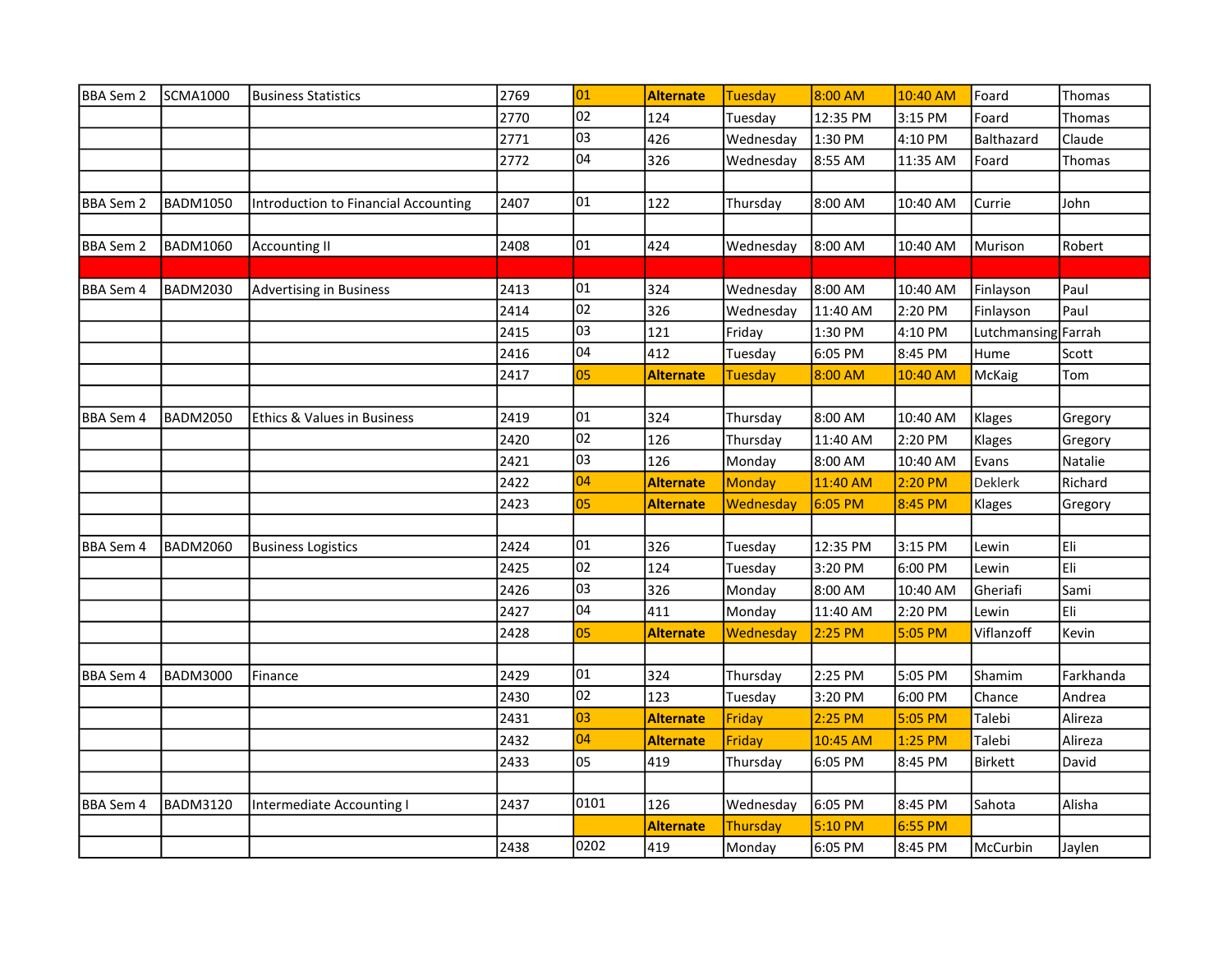| <b>BBA Sem 2</b> | <b>SCMA1000</b> | <b>Business Statistics</b>           | 2769 | 01              | Alternate        | Tuesday         | 8:00 AM   | 10:40 AM  | Foard               | Thomas    |
|------------------|-----------------|--------------------------------------|------|-----------------|------------------|-----------------|-----------|-----------|---------------------|-----------|
|                  |                 |                                      | 2770 | $\overline{02}$ | 124              | Tuesday         | 12:35 PM  | 3:15 PM   | Foard               | Thomas    |
|                  |                 |                                      | 2771 | 03              | 426              | Wednesday       | 1:30 PM   | 4:10 PM   | Balthazard          | Claude    |
|                  |                 |                                      | 2772 | 04              | 326              | Wednesday       | 8:55 AM   | 11:35 AM  | Foard               | Thomas    |
|                  |                 |                                      |      |                 |                  |                 |           |           |                     |           |
| BBA Sem 2        | <b>BADM1050</b> | Introduction to Financial Accounting | 2407 | 01              | 122              | Thursday        | 8:00 AM   | 10:40 AM  | Currie              | John      |
|                  |                 |                                      |      |                 |                  |                 |           |           |                     |           |
| <b>BBA Sem 2</b> | <b>BADM1060</b> | <b>Accounting II</b>                 | 2408 | 01              | 424              | Wednesday       | 8:00 AM   | 10:40 AM  | Murison             | Robert    |
|                  |                 |                                      |      |                 |                  |                 |           |           |                     |           |
| BBA Sem 4        | <b>BADM2030</b> | <b>Advertising in Business</b>       | 2413 | 01              | 324              | Wednesday       | 8:00 AM   | 10:40 AM  | Finlayson           | Paul      |
|                  |                 |                                      | 2414 | 02              | 326              | Wednesday       | 11:40 AM  | 2:20 PM   | Finlayson           | Paul      |
|                  |                 |                                      | 2415 | 03              | 121              | Friday          | 1:30 PM   | 4:10 PM   | Lutchmansing Farrah |           |
|                  |                 |                                      | 2416 | 04              | 412              | Tuesday         | 6:05 PM   | 8:45 PM   | Hume                | Scott     |
|                  |                 |                                      | 2417 | 05              | <b>Alternate</b> | <b>Tuesday</b>  | 8:00 AM   | 10:40 AM  | McKaig              | Tom       |
|                  |                 |                                      |      |                 |                  |                 |           |           |                     |           |
| BBA Sem 4        | <b>BADM2050</b> | Ethics & Values in Business          | 2419 | 01              | 324              | Thursday        | 8:00 AM   | 10:40 AM  | Klages              | Gregory   |
|                  |                 |                                      | 2420 | $ 02\rangle$    | 126              | Thursday        | 11:40 AM  | 2:20 PM   | Klages              | Gregory   |
|                  |                 |                                      | 2421 | 03              | 126              | Monday          | 8:00 AM   | 10:40 AM  | Evans               | Natalie   |
|                  |                 |                                      | 2422 | 04              | <b>Alternate</b> | Monday          | 11:40 AM  | 2:20 PM   | Deklerk             | Richard   |
|                  |                 |                                      | 2423 | 05              | <b>Alternate</b> | Wednesday       | 6:05 PM   | 8:45 PM   | Klages              | Gregory   |
|                  |                 |                                      |      |                 |                  |                 |           |           |                     |           |
| <b>BBA Sem 4</b> | <b>BADM2060</b> | <b>Business Logistics</b>            | 2424 | 01              | 326              | Tuesday         | 12:35 PM  | 3:15 PM   | Lewin               | Eli       |
|                  |                 |                                      | 2425 | 02              | 124              | Tuesday         | 3:20 PM   | 6:00 PM   | Lewin               | Eli:      |
|                  |                 |                                      | 2426 | 03              | 326              | Monday          | 8:00 AM   | 10:40 AM  | Gheriafi            | Sami      |
|                  |                 |                                      | 2427 | 04              | 411              | Monday          | 11:40 AM  | 2:20 PM   | Lewin               | Eli       |
|                  |                 |                                      | 2428 | 05              | <b>Alternate</b> | Wednesday       | 2:25 PM   | 5:05 PM   | Viflanzoff          | Kevin     |
|                  |                 |                                      |      |                 |                  |                 |           |           |                     |           |
| <b>BBA Sem 4</b> | <b>BADM3000</b> | Finance                              | 2429 | 01              | 324              | Thursday        | 2:25 PM   | 5:05 PM   | Shamim              | Farkhanda |
|                  |                 |                                      | 2430 | 02              | 123              | Tuesday         | 3:20 PM   | 6:00 PM   | Chance              | Andrea    |
|                  |                 |                                      | 2431 | 03              | <b>Alternate</b> | Friday          | $2:25$ PM | 5:05 PM   | Talebi              | Alireza   |
|                  |                 |                                      | 2432 | 04              | <b>Alternate</b> | Friday          | 10:45 AM  | 1:25 PM   | Talebi              | Alireza   |
|                  |                 |                                      | 2433 | 05              | 419              | Thursday        | 6:05 PM   | 8:45 PM   | <b>Birkett</b>      | David     |
|                  |                 |                                      |      |                 |                  |                 |           |           |                     |           |
| <b>BBA Sem 4</b> | <b>BADM3120</b> | Intermediate Accounting I            | 2437 | 0101            | 126              | Wednesday       | 6:05 PM   | 8:45 PM   | Sahota              | Alisha    |
|                  |                 |                                      |      |                 | <b>Alternate</b> | <b>Thursday</b> | 5:10 PM   | $6:55$ PM |                     |           |
|                  |                 |                                      | 2438 | 0202            | 419              | Monday          | 6:05 PM   | 8:45 PM   | McCurbin            | Jaylen    |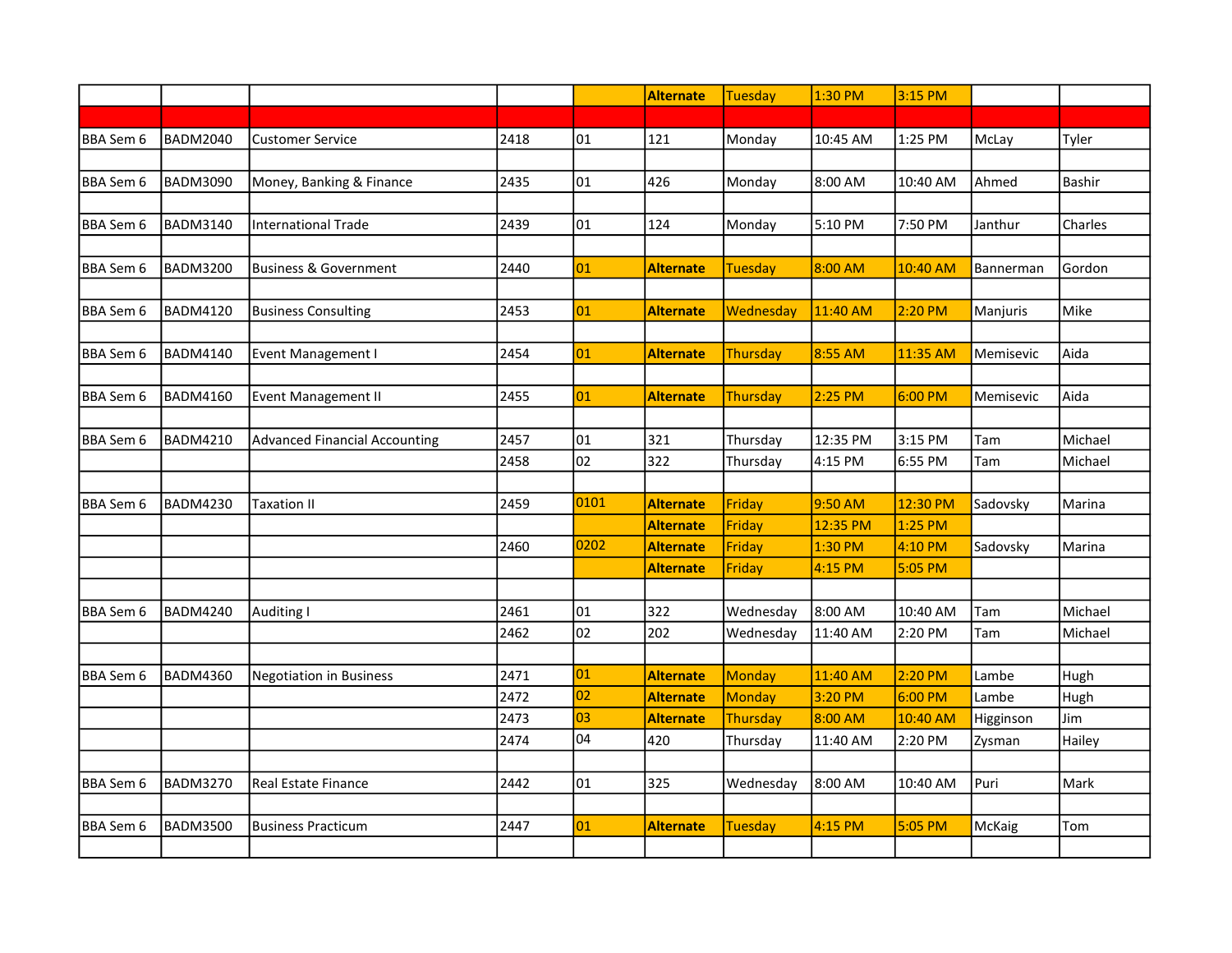|           |                 |                                      |      |      | Alternate        | <b>Tuesday</b>  | 1:30 PM  | 3:15 PM  |           |               |
|-----------|-----------------|--------------------------------------|------|------|------------------|-----------------|----------|----------|-----------|---------------|
|           |                 |                                      |      |      |                  |                 |          |          |           |               |
| BBA Sem 6 | <b>BADM2040</b> | <b>Customer Service</b>              | 2418 | 01   | 121              | Monday          | 10:45 AM | 1:25 PM  | McLay     | Tyler         |
|           |                 |                                      |      |      |                  |                 |          |          |           |               |
| BBA Sem 6 | <b>BADM3090</b> | Money, Banking & Finance             | 2435 | 01   | 426              | Monday          | 8:00 AM  | 10:40 AM | Ahmed     | <b>Bashir</b> |
|           |                 |                                      |      |      |                  |                 |          |          |           |               |
| BBA Sem 6 | <b>BADM3140</b> | <b>International Trade</b>           | 2439 | 01   | 124              | Monday          | 5:10 PM  | 7:50 PM  | Janthur   | Charles       |
|           |                 |                                      |      |      |                  |                 |          |          |           |               |
| BBA Sem 6 | <b>BADM3200</b> | <b>Business &amp; Government</b>     | 2440 | 01   | <b>Alternate</b> | <b>Tuesday</b>  | 8:00 AM  | 10:40 AM | Bannerman | Gordon        |
|           |                 |                                      |      |      |                  |                 |          |          |           |               |
| BBA Sem 6 | <b>BADM4120</b> | <b>Business Consulting</b>           | 2453 | 01   | <b>Alternate</b> | Wednesday       | 11:40 AM | 2:20 PM  | Manjuris  | Mike          |
|           |                 |                                      |      |      |                  |                 |          |          |           |               |
| BBA Sem 6 | <b>BADM4140</b> | Event Management I                   | 2454 | 01   | <b>Alternate</b> | Thursday        | 8:55 AM  | 11:35 AM | Memisevic | Aida          |
|           |                 |                                      |      |      |                  |                 |          |          |           |               |
| BBA Sem 6 | <b>BADM4160</b> | <b>Event Management II</b>           | 2455 | 01   | <b>Alternate</b> | Thursday        | 2:25 PM  | 6:00 PM  | Memisevic | Aida          |
|           |                 |                                      |      |      |                  |                 |          |          |           |               |
| BBA Sem 6 | <b>BADM4210</b> | <b>Advanced Financial Accounting</b> | 2457 | 01   | 321              | Thursday        | 12:35 PM | 3:15 PM  | Tam       | Michael       |
|           |                 |                                      | 2458 | 02   | 322              | Thursday        | 4:15 PM  | 6:55 PM  | Tam       | Michael       |
|           |                 |                                      |      |      |                  |                 |          |          |           |               |
| BBA Sem 6 | <b>BADM4230</b> | Taxation II                          | 2459 | 0101 | <b>Alternate</b> | Friday          | 9:50 AM  | 12:30 PM | Sadovsky  | Marina        |
|           |                 |                                      |      |      | <b>Alternate</b> | Friday          | 12:35 PM | 1:25 PM  |           |               |
|           |                 |                                      | 2460 | 0202 | <b>Alternate</b> | Friday          | 1:30 PM  | 4:10 PM  | Sadovsky  | Marina        |
|           |                 |                                      |      |      | <b>Alternate</b> | Friday          | 4:15 PM  | 5:05 PM  |           |               |
|           |                 |                                      |      |      |                  |                 |          |          |           |               |
| BBA Sem 6 | <b>BADM4240</b> | Auditing I                           | 2461 | 01   | 322              | Wednesday       | 8:00 AM  | 10:40 AM | Tam       | Michael       |
|           |                 |                                      | 2462 | 02   | 202              | Wednesday       | 11:40 AM | 2:20 PM  | Tam       | Michael       |
|           |                 |                                      |      |      |                  |                 |          |          |           |               |
| BBA Sem 6 | <b>BADM4360</b> | Negotiation in Business              | 2471 | 01   | <b>Alternate</b> | <b>Monday</b>   | 11:40 AM | 2:20 PM  | Lambe     | Hugh          |
|           |                 |                                      | 2472 | 02   | <b>Alternate</b> | <b>Monday</b>   | 3:20 PM  | 6:00 PM  | Lambe     | Hugh          |
|           |                 |                                      | 2473 | 03   | <b>Alternate</b> | <b>Thursday</b> | 8:00 AM  | 10:40 AM | Higginson | Jim           |
|           |                 |                                      | 2474 | 04   | 420              | Thursday        | 11:40 AM | 2:20 PM  | Zysman    | Hailey        |
|           |                 |                                      |      |      |                  |                 |          |          |           |               |
| BBA Sem 6 | <b>BADM3270</b> | <b>Real Estate Finance</b>           | 2442 | 01   | 325              | Wednesday       | 8:00 AM  | 10:40 AM | Puri      | Mark          |
|           |                 |                                      |      |      |                  |                 |          |          |           |               |
| BBA Sem 6 | <b>BADM3500</b> | <b>Business Practicum</b>            | 2447 | 01   | <b>Alternate</b> | <b>Tuesday</b>  | 4:15 PM  | 5:05 PM  | McKaig    | Tom           |
|           |                 |                                      |      |      |                  |                 |          |          |           |               |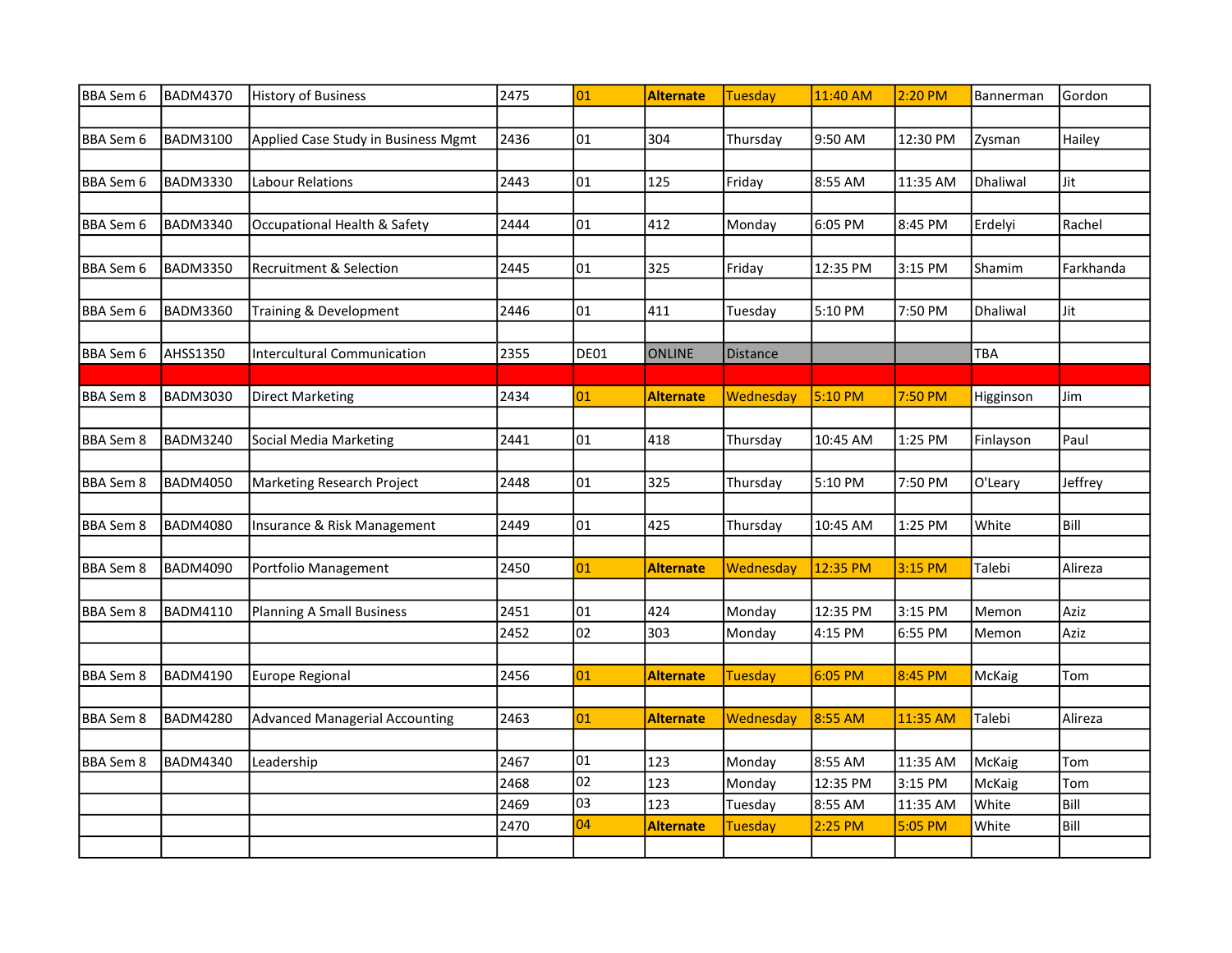| BBA Sem 6        | <b>BADM4370</b> | History of Business                   | 2475 | 01   | <b>Alternate</b> | Tuesday        | 11:40 AM  | 2:20 PM  | Bannerman | Gordon    |
|------------------|-----------------|---------------------------------------|------|------|------------------|----------------|-----------|----------|-----------|-----------|
|                  |                 |                                       |      |      |                  |                |           |          |           |           |
| BBA Sem 6        | <b>BADM3100</b> | Applied Case Study in Business Mgmt   | 2436 | 01   | 304              | Thursday       | 9:50 AM   | 12:30 PM | Zysman    | Hailey    |
|                  |                 |                                       |      |      |                  |                |           |          |           |           |
| BBA Sem 6        | <b>BADM3330</b> | Labour Relations                      | 2443 | 01   | 125              | Friday         | 8:55 AM   | 11:35 AM | Dhaliwal  | Jit       |
|                  |                 |                                       |      |      |                  |                |           |          |           |           |
| BBA Sem 6        | <b>BADM3340</b> | Occupational Health & Safety          | 2444 | 01   | 412              | Monday         | 6:05 PM   | 8:45 PM  | Erdelyi   | Rachel    |
|                  |                 |                                       |      |      |                  |                |           |          |           |           |
| BBA Sem 6        | <b>BADM3350</b> | Recruitment & Selection               | 2445 | 01   | 325              | Friday         | 12:35 PM  | 3:15 PM  | Shamim    | Farkhanda |
|                  |                 |                                       |      |      |                  |                |           |          |           |           |
| BBA Sem 6        | <b>BADM3360</b> | Training & Development                | 2446 | 01   | 411              | Tuesday        | 5:10 PM   | 7:50 PM  | Dhaliwal  | Jit       |
|                  |                 |                                       |      |      |                  |                |           |          |           |           |
| BBA Sem 6        | <b>AHSS1350</b> | <b>Intercultural Communication</b>    | 2355 | DE01 | <b>ONLINE</b>    | Distance       |           |          | TBA       |           |
|                  |                 |                                       |      |      |                  |                |           |          |           |           |
| <b>BBA Sem 8</b> | <b>BADM3030</b> | <b>Direct Marketing</b>               | 2434 | 01   | <b>Alternate</b> | Wednesday      | 5:10 PM   | 7:50 PM  | Higginson | Jim       |
|                  |                 |                                       |      |      |                  |                |           |          |           |           |
| BBA Sem 8        | <b>BADM3240</b> | Social Media Marketing                | 2441 | 01   | 418              | Thursday       | 10:45 AM  | 1:25 PM  | Finlayson | Paul      |
|                  |                 |                                       |      |      |                  |                |           |          |           |           |
| <b>BBA Sem 8</b> | <b>BADM4050</b> | Marketing Research Project            | 2448 | 01   | 325              | Thursday       | 5:10 PM   | 7:50 PM  | O'Leary   | Jeffrey   |
|                  |                 |                                       |      |      |                  |                |           |          |           |           |
| <b>BBA</b> Sem 8 | <b>BADM4080</b> | Insurance & Risk Management           | 2449 | 01   | 425              | Thursday       | 10:45 AM  | 1:25 PM  | White     | Bill      |
|                  |                 |                                       |      |      |                  |                |           |          |           |           |
| <b>BBA Sem 8</b> | <b>BADM4090</b> | Portfolio Management                  | 2450 | 01   | <b>Alternate</b> | Wednesday      | 12:35 PM  | 3:15 PM  | Talebi    | Alireza   |
|                  |                 |                                       |      |      |                  |                |           |          |           |           |
| <b>BBA Sem 8</b> | <b>BADM4110</b> | Planning A Small Business             | 2451 | 01   | 424              | Monday         | 12:35 PM  | 3:15 PM  | Memon     | Aziz      |
|                  |                 |                                       | 2452 | 02   | 303              | Monday         | 4:15 PM   | 6:55 PM  | Memon     | Aziz      |
|                  |                 |                                       |      |      |                  |                |           |          |           |           |
| <b>BBA Sem 8</b> | <b>BADM4190</b> | Europe Regional                       | 2456 | 01   | <b>Alternate</b> | Tuesday        | $6:05$ PM | 8:45 PM  | McKaig    | Tom       |
|                  |                 |                                       |      |      |                  |                |           |          |           |           |
| <b>BBA Sem 8</b> | <b>BADM4280</b> | <b>Advanced Managerial Accounting</b> | 2463 | 01   | <b>Alternate</b> | Wednesday      | 8:55 AM   | 11:35 AM | Talebi    | Alireza   |
|                  |                 |                                       |      |      |                  |                |           |          |           |           |
| BBA Sem 8        | <b>BADM4340</b> | Leadership                            | 2467 | 01   | 123              | Monday         | 8:55 AM   | 11:35 AM | McKaig    | Tom       |
|                  |                 |                                       | 2468 | 02   | 123              | Monday         | 12:35 PM  | 3:15 PM  | McKaig    | Tom       |
|                  |                 |                                       | 2469 | 03   | 123              | Tuesday        | 8:55 AM   | 11:35 AM | White     | Bill      |
|                  |                 |                                       | 2470 | 04   | <b>Alternate</b> | <b>Tuesday</b> | 2:25 PM   | 5:05 PM  | White     | Bill      |
|                  |                 |                                       |      |      |                  |                |           |          |           |           |